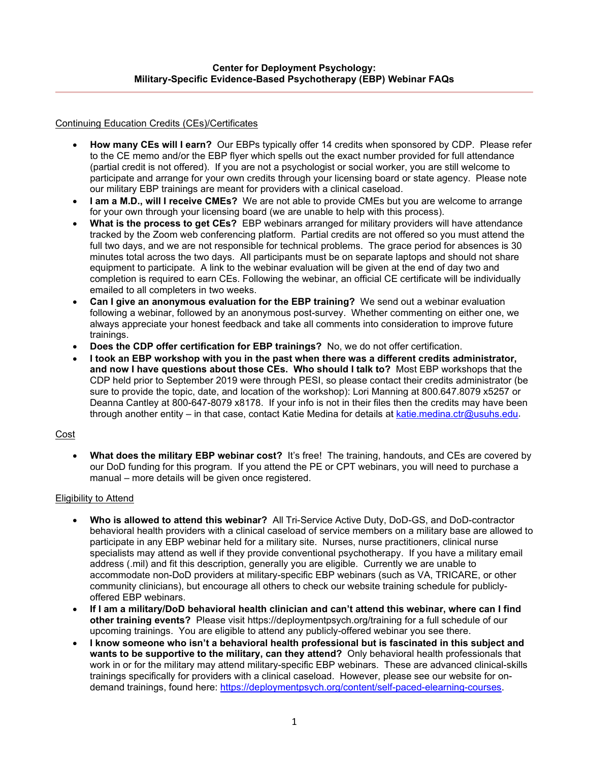### Continuing Education Credits (CEs)/Certificates

- **How many CEs will I earn?** Our EBPs typically offer 14 credits when sponsored by CDP. Please refer to the CE memo and/or the EBP flyer which spells out the exact number provided for full attendance (partial credit is not offered). If you are not a psychologist or social worker, you are still welcome to participate and arrange for your own credits through your licensing board or state agency. Please note our military EBP trainings are meant for providers with a clinical caseload.
- **I am a M.D., will I receive CMEs?** We are not able to provide CMEs but you are welcome to arrange for your own through your licensing board (we are unable to help with this process).
- **What is the process to get CEs?** EBP webinars arranged for military providers will have attendance tracked by the Zoom web conferencing platform. Partial credits are not offered so you must attend the full two days, and we are not responsible for technical problems. The grace period for absences is 30 minutes total across the two days. All participants must be on separate laptops and should not share equipment to participate. A link to the webinar evaluation will be given at the end of day two and completion is required to earn CEs. Following the webinar, an official CE certificate will be individually emailed to all completers in two weeks.
- **Can I give an anonymous evaluation for the EBP training?** We send out a webinar evaluation following a webinar, followed by an anonymous post-survey. Whether commenting on either one, we always appreciate your honest feedback and take all comments into consideration to improve future trainings.
- **Does the CDP offer certification for EBP trainings?** No, we do not offer certification.
- **I took an EBP workshop with you in the past when there was a different credits administrator, and now I have questions about those CEs. Who should I talk to?** Most EBP workshops that the CDP held prior to September 2019 were through PESI, so please contact their credits administrator (be sure to provide the topic, date, and location of the workshop): Lori Manning at 800.647.8079 x5257 or Deanna Cantley at 800-647-8079 x8178. If your info is not in their files then the credits may have been through another entity – in that case, contact Katie Medina for details at [katie.medina.ctr@usuhs.edu.](mailto:katie.medina.ctr@usuhs.edu)

### Cost

• **What does the military EBP webinar cost?** It's free! The training, handouts, and CEs are covered by our DoD funding for this program. If you attend the PE or CPT webinars, you will need to purchase a manual – more details will be given once registered.

# Eligibility to Attend

- **Who is allowed to attend this webinar?** All Tri-Service Active Duty, DoD-GS, and DoD-contractor behavioral health providers with a clinical caseload of service members on a military base are allowed to participate in any EBP webinar held for a military site. Nurses, nurse practitioners, clinical nurse specialists may attend as well if they provide conventional psychotherapy. If you have a military email address (.mil) and fit this description, generally you are eligible. Currently we are unable to accommodate non-DoD providers at military-specific EBP webinars (such as VA, TRICARE, or other community clinicians), but encourage all others to check our website training schedule for publiclyoffered EBP webinars.
- **If I am a military/DoD behavioral health clinician and can't attend this webinar, where can I find other training events?** Please visit https://deploymentpsych.org/training for a full schedule of our upcoming trainings. You are eligible to attend any publicly-offered webinar you see there.
- **I know someone who isn't a behavioral health professional but is fascinated in this subject and wants to be supportive to the military, can they attend?** Only behavioral health professionals that work in or for the military may attend military-specific EBP webinars. These are advanced clinical-skills trainings specifically for providers with a clinical caseload. However, please see our website for ondemand trainings, found here: [https://deploymentpsych.org/content/self-paced-elearning-courses.](https://deploymentpsych.org/content/self-paced-elearning-courses)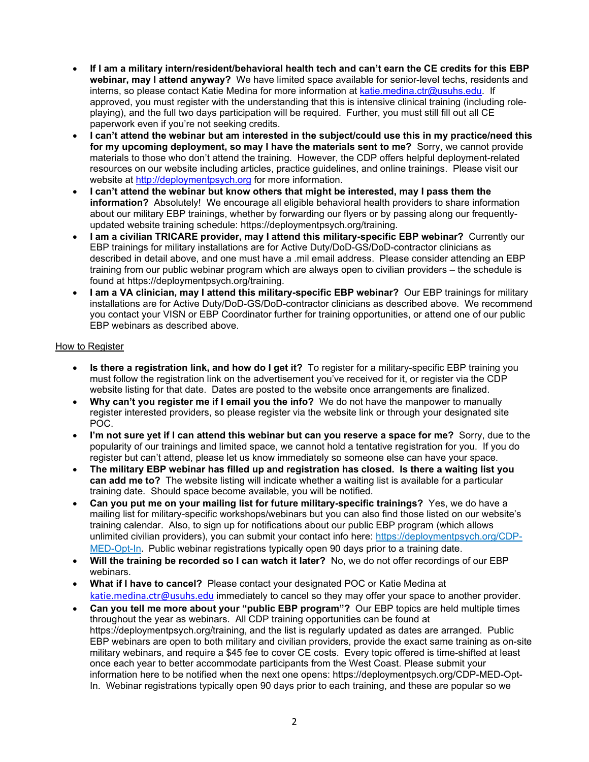- **If I am a military intern/resident/behavioral health tech and can't earn the CE credits for this EBP webinar, may I attend anyway?** We have limited space available for senior-level techs, residents and interns, so please contact Katie Medina for more information at [katie.medina.ctr@usuhs.edu.](mailto:katie.medina.ctr@usuhs.edu) If approved, you must register with the understanding that this is intensive clinical training (including roleplaying), and the full two days participation will be required. Further, you must still fill out all CE paperwork even if you're not seeking credits.
- **I can't attend the webinar but am interested in the subject/could use this in my practice/need this for my upcoming deployment, so may I have the materials sent to me?** Sorry, we cannot provide materials to those who don't attend the training. However, the CDP offers helpful deployment-related resources on our website including articles, practice guidelines, and online trainings. Please visit our website at [http://deploymentpsych.org](http://deploymentpsych.org/) for more information.
- **I can't attend the webinar but know others that might be interested, may I pass them the information?** Absolutely! We encourage all eligible behavioral health providers to share information about our military EBP trainings, whether by forwarding our flyers or by passing along our frequentlyupdated website training schedule: https://deploymentpsych.org/training.
- **I am a civilian TRICARE provider, may I attend this military-specific EBP webinar?** Currently our EBP trainings for military installations are for Active Duty/DoD-GS/DoD-contractor clinicians as described in detail above, and one must have a .mil email address. Please consider attending an EBP training from our public webinar program which are always open to civilian providers – the schedule is found at https://deploymentpsych.org/training.
- **I am a VA clinician, may I attend this military-specific EBP webinar?** Our EBP trainings for military installations are for Active Duty/DoD-GS/DoD-contractor clinicians as described above. We recommend you contact your VISN or EBP Coordinator further for training opportunities, or attend one of our public EBP webinars as described above.

### How to Register

- **Is there a registration link, and how do I get it?** To register for a military-specific EBP training you must follow the registration link on the advertisement you've received for it, or register via the CDP website listing for that date. Dates are posted to the website once arrangements are finalized.
- **Why can't you register me if I email you the info?** We do not have the manpower to manually register interested providers, so please register via the website link or through your designated site POC.
- **I'm not sure yet if I can attend this webinar but can you reserve a space for me?** Sorry, due to the popularity of our trainings and limited space, we cannot hold a tentative registration for you. If you do register but can't attend, please let us know immediately so someone else can have your space.
- **The military EBP webinar has filled up and registration has closed. Is there a waiting list you can add me to?** The website listing will indicate whether a waiting list is available for a particular training date. Should space become available, you will be notified.
- **Can you put me on your mailing list for future military-specific trainings?** Yes, we do have a mailing list for military-specific workshops/webinars but you can also find those listed on our website's training calendar. Also, to sign up for notifications about our public EBP program (which allows unlimited civilian providers), you can submit your contact info here: [https://deploymentpsych.org/CDP-](https://deploymentpsych.org/CDP-MED-Opt-In)[MED-Opt-In](https://deploymentpsych.org/CDP-MED-Opt-In). Public webinar registrations typically open 90 days prior to a training date.
- **Will the training be recorded so I can watch it later?** No, we do not offer recordings of our EBP webinars.
- **What if I have to cancel?** Please contact your designated POC or Katie Medina at [katie.medina.ctr@usuhs.edu](mailto:katie.medina.ctr@usuhs.edu) immediately to cancel so they may offer your space to another provider.
- **Can you tell me more about your "public EBP program"?** Our EBP topics are held multiple times throughout the year as webinars. All CDP training opportunities can be found at https://deploymentpsych.org/training, and the list is regularly updated as dates are arranged. Public EBP webinars are open to both military and civilian providers, provide the exact same training as on-site military webinars, and require a \$45 fee to cover CE costs. Every topic offered is time-shifted at least once each year to better accommodate participants from the West Coast. Please submit your information here to be notified when the next one opens: [https://deploymentpsych.org/CDP-MED-Opt-](https://deploymentpsych.org/CDP-MED-Opt-In)[In.](https://deploymentpsych.org/CDP-MED-Opt-In) Webinar registrations typically open 90 days prior to each training, and these are popular so we